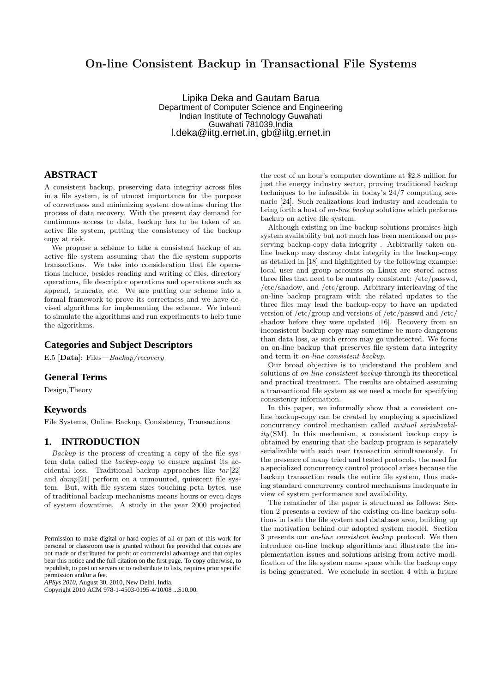# On-line Consistent Backup in Transactional File Systems

Lipika Deka and Gautam Barua Department of Computer Science and Engineering Indian Institute of Technology Guwahati Guwahati 781039,India l.deka@iitg.ernet.in, gb@iitg.ernet.in

### **ABSTRACT**

A consistent backup, preserving data integrity across files in a file system, is of utmost importance for the purpose of correctness and minimizing system downtime during the process of data recovery. With the present day demand for continuous access to data, backup has to be taken of an active file system, putting the consistency of the backup copy at risk.

We propose a scheme to take a consistent backup of an active file system assuming that the file system supports transactions. We take into consideration that file operations include, besides reading and writing of files, directory operations, file descriptor operations and operations such as append, truncate, etc. We are putting our scheme into a formal framework to prove its correctness and we have devised algorithms for implementing the scheme. We intend to simulate the algorithms and run experiments to help tune the algorithms.

#### **Categories and Subject Descriptors**

E.5 [Data]: Files—Backup/recovery

### **General Terms**

Design,Theory

### **Keywords**

File Systems, Online Backup, Consistency, Transactions

### **1. INTRODUCTION**

Backup is the process of creating a copy of the file system data called the backup-copy to ensure against its accidental loss. Traditional backup approaches like  $tar[22]$ and  $dump[21]$  perform on a unmounted, quiescent file system. But, with file system sizes touching peta bytes, use of traditional backup mechanisms means hours or even days of system downtime. A study in the year 2000 projected

*APSys 2010,* August 30, 2010, New Delhi, India.

Copyright 2010 ACM 978-1-4503-0195-4/10/08 ...\$10.00.

the cost of an hour's computer downtime at \$2.8 million for just the energy industry sector, proving traditional backup techniques to be infeasible in today's 24/7 computing scenario [24]. Such realizations lead industry and academia to bring forth a host of on-line backup solutions which performs backup on active file system.

Although existing on-line backup solutions promises high system availability but not much has been mentioned on preserving backup-copy data integrity . Arbitrarily taken online backup may destroy data integrity in the backup-copy as detailed in [18] and highlighted by the following example: local user and group accounts on Linux are stored across three files that need to be mutually consistent: /etc/passwd, /etc/shadow, and /etc/group. Arbitrary interleaving of the on-line backup program with the related updates to the three files may lead the backup-copy to have an updated version of /etc/group and versions of /etc/passwd and /etc/ shadow before they were updated [16]. Recovery from an inconsistent backup-copy may sometime be more dangerous than data loss, as such errors may go undetected. We focus on on-line backup that preserves file system data integrity and term it on-line consistent backup.

Our broad objective is to understand the problem and solutions of on-line consistent backup through its theoretical and practical treatment. The results are obtained assuming a transactional file system as we need a mode for specifying consistency information.

In this paper, we informally show that a consistent online backup-copy can be created by employing a specialized concurrency control mechanism called mutual serializabil $ity(SM)$ . In this mechanism, a consistent backup copy is obtained by ensuring that the backup program is separately serializable with each user transaction simultaneously. In the presence of many tried and tested protocols, the need for a specialized concurrency control protocol arises because the backup transaction reads the entire file system, thus making standard concurrency control mechanisms inadequate in view of system performance and availability.

The remainder of the paper is structured as follows: Section 2 presents a review of the existing on-line backup solutions in both the file system and database area, building up the motivation behind our adopted system model. Section 3 presents our on-line consistent backup protocol. We then introduce on-line backup algorithms and illustrate the implementation issues and solutions arising from active modification of the file system name space while the backup copy is being generated. We conclude in section 4 with a future

Permission to make digital or hard copies of all or part of this work for personal or classroom use is granted without fee provided that copies are not made or distributed for profit or commercial advantage and that copies bear this notice and the full citation on the first page. To copy otherwise, to republish, to post on servers or to redistribute to lists, requires prior specific permission and/or a fee.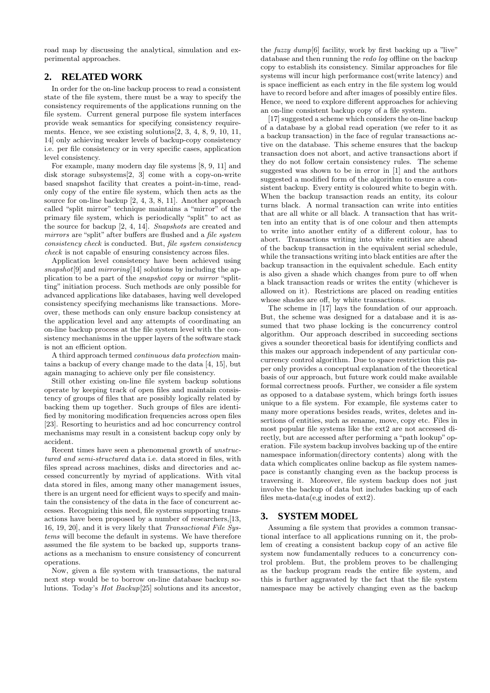road map by discussing the analytical, simulation and experimental approaches.

## **2. RELATED WORK**

In order for the on-line backup process to read a consistent state of the file system, there must be a way to specify the consistency requirements of the applications running on the file system. Current general purpose file system interfaces provide weak semantics for specifying consistency requirements. Hence, we see existing solutions[2, 3, 4, 8, 9, 10, 11, 14] only achieving weaker levels of backup-copy consistency i.e. per file consistency or in very specific cases, application level consistency.

For example, many modern day file systems [8, 9, 11] and disk storage subsystems[2, 3] come with a copy-on-write based snapshot facility that creates a point-in-time, readonly copy of the entire file system, which then acts as the source for on-line backup [2, 4, 3, 8, 11]. Another approach called "split mirror" technique maintains a "mirror" of the primary file system, which is periodically "split" to act as the source for backup [2, 4, 14]. Snapshots are created and mirrors are "split" after buffers are flushed and a *file system* consistency check is conducted. But, file system consistency check is not capable of ensuring consistency across files.

Application level consistency have been achieved using snapshot<sup>[9]</sup> and  $mirroring[14]$  solutions by including the application to be a part of the snapshot copy or mirror "splitting" initiation process. Such methods are only possible for advanced applications like databases, having well developed consistency specifying mechanisms like transactions. Moreover, these methods can only ensure backup consistency at the application level and any attempts of coordinating an on-line backup process at the file system level with the consistency mechanisms in the upper layers of the software stack is not an efficient option.

A third approach termed continuous data protection maintains a backup of every change made to the data [4, 15], but again managing to achieve only per file consistency.

Still other existing on-line file system backup solutions operate by keeping track of open files and maintain consistency of groups of files that are possibly logically related by backing them up together. Such groups of files are identified by monitoring modification frequencies across open files [23]. Resorting to heuristics and ad hoc concurrency control mechanisms may result in a consistent backup copy only by accident.

Recent times have seen a phenomenal growth of unstructured and semi-structured data i.e. data stored in files, with files spread across machines, disks and directories and accessed concurrently by myriad of applications. With vital data stored in files, among many other management issues, there is an urgent need for efficient ways to specify and maintain the consistency of the data in the face of concurrent accesses. Recognizing this need, file systems supporting transactions have been proposed by a number of researchers,[13, 16, 19, 20], and it is very likely that Transactional File Systems will become the default in systems. We have therefore assumed the file system to be backed up, supports transactions as a mechanism to ensure consistency of concurrent operations.

Now, given a file system with transactions, the natural next step would be to borrow on-line database backup solutions. Today's Hot Backup[25] solutions and its ancestor,

the  $fuzzy \, dump[6]$  facility, work by first backing up a "live" database and then running the redo log offline on the backup copy to establish its consistency. Similar approaches for file systems will incur high performance cost(write latency) and is space inefficient as each entry in the file system log would have to record before and after images of possibly entire files. Hence, we need to explore different approaches for achieving an on-line consistent backup copy of a file system.

[17] suggested a scheme which considers the on-line backup of a database by a global read operation (we refer to it as a backup transaction) in the face of regular transactions active on the database. This scheme ensures that the backup transaction does not abort, and active transactions abort if they do not follow certain consistency rules. The scheme suggested was shown to be in error in [1] and the authors suggested a modified form of the algorithm to ensure a consistent backup. Every entity is coloured white to begin with. When the backup transaction reads an entity, its colour turns black. A normal transaction can write into entities that are all white or all black. A transaction that has written into an entity that is of one colour and then attempts to write into another entity of a different colour, has to abort. Transactions writing into white entities are ahead of the backup transaction in the equivalent serial schedule, while the transactions writing into black entities are after the backup transaction in the equivalent schedule. Each entity is also given a shade which changes from pure to off when a black transaction reads or writes the entity (whichever is allowed on it). Restrictions are placed on reading entities whose shades are off, by white transactions.

The scheme in [17] lays the foundation of our approach. But, the scheme was designed for a database and it is assumed that two phase locking is the concurrency control algorithm. Our approach described in succeeding sections gives a sounder theoretical basis for identifying conflicts and this makes our approach independent of any particular concurrency control algorithm. Due to space restriction this paper only provides a conceptual explanation of the theoretical basis of our approach, but future work could make available formal correctness proofs. Further, we consider a file system as opposed to a database system, which brings forth issues unique to a file system. For example, file systems cater to many more operations besides reads, writes, deletes and insertions of entities, such as rename, move, copy etc. Files in most popular file systems like the ext2 are not accessed directly, but are accessed after performing a "path lookup" operation. File system backup involves backing up of the entire namespace information(directory contents) along with the data which complicates online backup as file system namespace is constantly changing even as the backup process is traversing it. Moreover, file system backup does not just involve the backup of data but includes backing up of each files meta-data(e,g inodes of ext2).

## **3. SYSTEM MODEL**

Assuming a file system that provides a common transactional interface to all applications running on it, the problem of creating a consistent backup copy of an active file system now fundamentally reduces to a concurrency control problem. But, the problem proves to be challenging as the backup program reads the entire file system, and this is further aggravated by the fact that the file system namespace may be actively changing even as the backup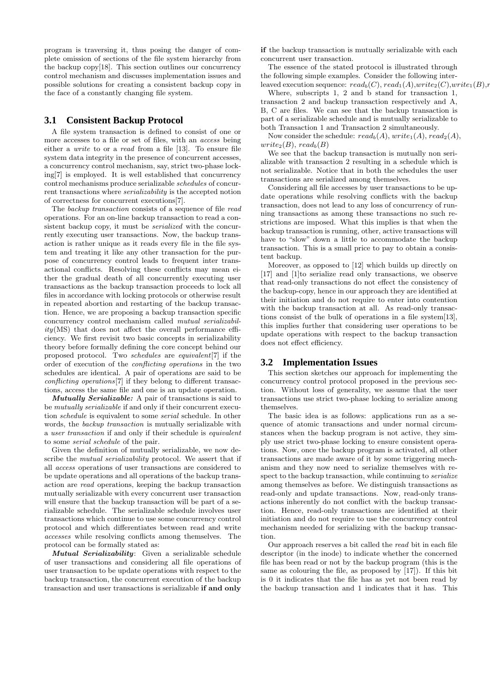program is traversing it, thus posing the danger of complete omission of sections of the file system hierarchy from the backup copy[18]. This section outlines our concurrency control mechanism and discusses implementation issues and possible solutions for creating a consistent backup copy in the face of a constantly changing file system.

### **3.1 Consistent Backup Protocol**

A file system transaction is defined to consist of one or more accesses to a file or set of files, with an access being either a write to or a read from a file [13]. To ensure file system data integrity in the presence of concurrent accesses, a concurrency control mechanism, say, strict two-phase locking[7] is employed. It is well established that concurrency control mechanisms produce serializable schedules of concurrent transactions where serializability is the accepted notion of correctness for concurrent executions[7].

The backup transaction consists of a sequence of file read operations. For an on-line backup transaction to read a consistent backup copy, it must be serialized with the concurrently executing user transactions. Now, the backup transaction is rather unique as it reads every file in the file system and treating it like any other transaction for the purpose of concurrency control leads to frequent inter transactional conflicts. Resolving these conflicts may mean either the gradual death of all concurrently executing user transactions as the backup transaction proceeds to lock all files in accordance with locking protocols or otherwise result in repeated abortion and restarting of the backup transaction. Hence, we are proposing a backup transaction specific concurrency control mechanism called mutual serializabil $ity(MS)$  that does not affect the overall performance efficiency. We first revisit two basic concepts in serializability theory before formally defining the core concept behind our proposed protocol. Two schedules are equivalent[7] if the order of execution of the conflicting operations in the two schedules are identical. A pair of operations are said to be conflicting operations[7] if they belong to different transactions, access the same file and one is an update operation.

Mutually Serializable: A pair of transactions is said to be mutually serializable if and only if their concurrent execution schedule is equivalent to some serial schedule. In other words, the backup transaction is mutually serializable with a user transaction if and only if their schedule is equivalent to some serial schedule of the pair.

Given the definition of mutually serializable, we now describe the *mutual serializability* protocol. We assert that if all access operations of user transactions are considered to be update operations and all operations of the backup transaction are read operations, keeping the backup transaction mutually serializable with every concurrent user transaction will ensure that the backup transaction will be part of a serializable schedule. The serializable schedule involves user transactions which continue to use some concurrency control protocol and which differentiates between read and write accesses while resolving conflicts among themselves. The protocol can be formally stated as:

Mutual Serializability: Given a serializable schedule of user transactions and considering all file operations of user transaction to be update operations with respect to the backup transaction, the concurrent execution of the backup transaction and user transactions is serializable if and only

if the backup transaction is mutually serializable with each concurrent user transaction.

The essence of the stated protocol is illustrated through the following simple examples. Consider the following interleaved execution sequence:  $read_b(C)$ ,  $read_1(A)$ ,write<sub>2</sub>(C),write<sub>1</sub>(B),r

Where, subscripts 1, 2 and b stand for transaction 1, transaction 2 and backup transaction respectively and A, B, C are files. We can see that the backup transaction is part of a serializable schedule and is mutually serializable to both Transaction 1 and Transaction 2 simultaneously.

Now consider the schedule:  $read_b(A), write_1(A), read_2(A),$  $write_2(B), read_b(B)$ 

We see that the backup transaction is mutually non serializable with transaction 2 resulting in a schedule which is not serializable. Notice that in both the schedules the user transactions are serialized among themselves.

Considering all file accesses by user transactions to be update operations while resolving conflicts with the backup transaction, does not lead to any loss of concurrency of running transactions as among these transactions no such restrictions are imposed. What this implies is that when the backup transaction is running, other, active transactions will have to "slow" down a little to accommodate the backup transaction. This is a small price to pay to obtain a consistent backup.

Moreover, as opposed to [12] which builds up directly on [17] and [1]to serialize read only transactions, we observe that read-only transactions do not effect the consistency of the backup-copy, hence in our approach they are identified at their initiation and do not require to enter into contention with the backup transaction at all. As read-only transactions consist of the bulk of operations in a file system[13], this implies further that considering user operations to be update operations with respect to the backup transaction does not effect efficiency.

#### **3.2 Implementation Issues**

This section sketches our approach for implementing the concurrency control protocol proposed in the previous section. Without loss of generality, we assume that the user transactions use strict two-phase locking to serialize among themselves.

The basic idea is as follows: applications run as a sequence of atomic transactions and under normal circumstances when the backup program is not active, they simply use strict two-phase locking to ensure consistent operations. Now, once the backup program is activated, all other transactions are made aware of it by some triggering mechanism and they now need to serialize themselves with respect to the backup transaction, while continuing to serialize among themselves as before. We distinguish transactions as read-only and update transactions. Now, read-only transactions inherently do not conflict with the backup transaction. Hence, read-only transactions are identified at their initiation and do not require to use the concurrency control mechanism needed for serializing with the backup transaction.

Our approach reserves a bit called the read bit in each file descriptor (in the inode) to indicate whether the concerned file has been read or not by the backup program (this is the same as colouring the file, as proposed by [17]). If this bit is 0 it indicates that the file has as yet not been read by the backup transaction and 1 indicates that it has. This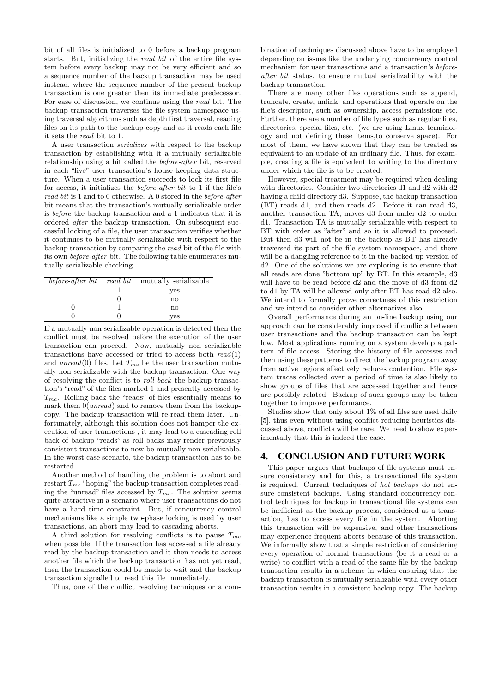bit of all files is initialized to 0 before a backup program starts. But, initializing the read bit of the entire file system before every backup may not be very efficient and so a sequence number of the backup transaction may be used instead, where the sequence number of the present backup transaction is one greater then its immediate predecessor. For ease of discussion, we continue using the read bit. The backup transaction traverses the file system namespace using traversal algorithms such as depth first traversal, reading files on its path to the backup-copy and as it reads each file it sets the read bit to 1.

A user transaction serializes with respect to the backup transaction by establishing with it a mutually serializable relationship using a bit called the before-after bit, reserved in each "live" user transaction's house keeping data structure. When a user transaction succeeds to lock its first file for access, it initializes the before-after bit to 1 if the file's read bit is 1 and to 0 otherwise. A 0 stored in the before-after bit means that the transaction's mutually serializable order is before the backup transaction and a 1 indicates that it is ordered after the backup transaction. On subsequent successful locking of a file, the user transaction verifies whether it continues to be mutually serializable with respect to the backup transaction by comparing the read bit of the file with its own before-after bit. The following table enumerates mutually serializable checking .

| before-after bit | read bit | mutually serializable  |
|------------------|----------|------------------------|
|                  |          | yes                    |
|                  |          | $\mathbf{n}\mathbf{o}$ |
|                  |          | no                     |
|                  |          | ves                    |

If a mutually non serializable operation is detected then the conflict must be resolved before the execution of the user transaction can proceed. Now, mutually non serializable transactions have accessed or tried to access both  $read(1)$ and unread(0) files. Let  $T_{mc}$  be the user transaction mutually non serializable with the backup transaction. One way of resolving the conflict is to roll back the backup transaction's "read" of the files marked 1 and presently accessed by  $T_{mc}$ . Rolling back the "reads" of files essentially means to mark them  $0(unread)$  and to remove them from the backupcopy. The backup transaction will re-read them later. Unfortunately, although this solution does not hamper the execution of user transactions , it may lead to a cascading roll back of backup "reads" as roll backs may render previously consistent transactions to now be mutually non serializable. In the worst case scenario, the backup transaction has to be restarted.

Another method of handling the problem is to abort and restart  $T_{mc}$  "hoping" the backup transaction completes reading the "unread" files accessed by  $T_{mc}$ . The solution seems quite attractive in a scenario where user transactions do not have a hard time constraint. But, if concurrency control mechanisms like a simple two-phase locking is used by user transactions, an abort may lead to cascading aborts.

A third solution for resolving conflicts is to pause  $T_{mc}$ when possible. If the transaction has accessed a file already read by the backup transaction and it then needs to access another file which the backup transaction has not yet read, then the transaction could be made to wait and the backup transaction signalled to read this file immediately.

Thus, one of the conflict resolving techniques or a com-

bination of techniques discussed above have to be employed depending on issues like the underlying concurrency control mechanism for user transactions and a transaction's beforeafter bit status, to ensure mutual serializability with the backup transaction.

There are many other files operations such as append, truncate, create, unlink, and operations that operate on the file's descriptor, such as ownership, access permissions etc. Further, there are a number of file types such as regular files, directories, special files, etc. (we are using Linux terminology and not defining these items,to conserve space). For most of them, we have shown that they can be treated as equivalent to an update of an ordinary file. Thus, for example, creating a file is equivalent to writing to the directory under which the file is to be created.

However, special treatment may be required when dealing with directories. Consider two directories d1 and d2 with d2 having a child directory d3. Suppose, the backup transaction (BT) reads d1, and then reads d2. Before it can read d3, another transaction TA, moves d3 from under d2 to under d1. Transaction TA is mutually serializable with respect to BT with order as "after" and so it is allowed to proceed. But then d3 will not be in the backup as BT has already traversed its part of the file system namespace, and there will be a dangling reference to it in the backed up version of d2. One of the solutions we are exploring is to ensure that all reads are done "bottom up" by BT. In this example, d3 will have to be read before d2 and the move of d3 from d2 to d1 by TA will be allowed only after BT has read d2 also. We intend to formally prove correctness of this restriction and we intend to consider other alternatives also.

Overall performance during an on-line backup using our approach can be considerably improved if conflicts between user transactions and the backup transaction can be kept low. Most applications running on a system develop a pattern of file access. Storing the history of file accesses and then using these patterns to direct the backup program away from active regions effectively reduces contention. File system traces collected over a period of time is also likely to show groups of files that are accessed together and hence are possibly related. Backup of such groups may be taken together to improve performance.

Studies show that only about 1% of all files are used daily [5], thus even without using conflict reducing heuristics discussed above, conflicts will be rare. We need to show experimentally that this is indeed the case.

### **4. CONCLUSION AND FUTURE WORK**

This paper argues that backups of file systems must ensure consistency and for this, a transactional file system is required. Current techniques of hot backups do not ensure consistent backups. Using standard concurrency control techniques for backup in transactional file systems can be inefficient as the backup process, considered as a transaction, has to access every file in the system. Aborting this transaction will be expensive, and other transactions may experience frequent aborts because of this transaction. We informally show that a simple restriction of considering every operation of normal transactions (be it a read or a write) to conflict with a read of the same file by the backup transaction results in a scheme in which ensuring that the backup transaction is mutually serializable with every other transaction results in a consistent backup copy. The backup